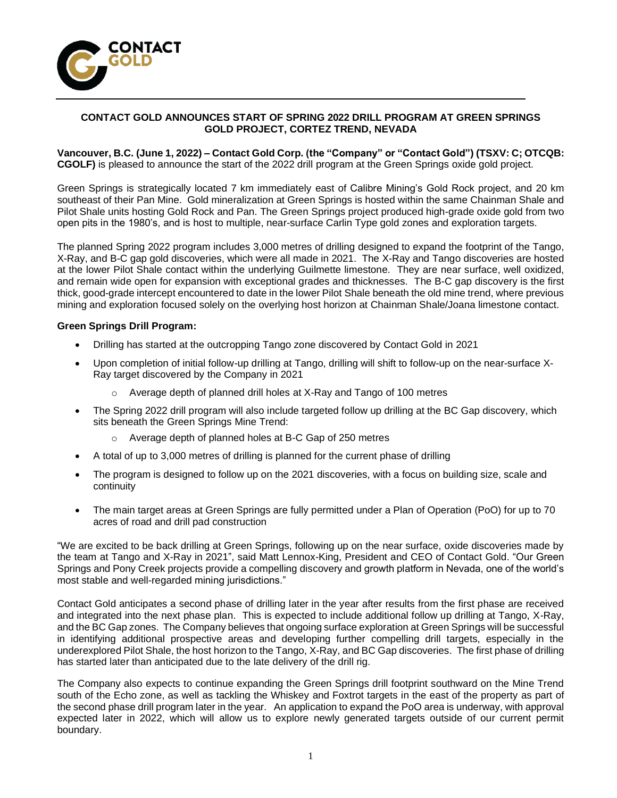

## **CONTACT GOLD ANNOUNCES START OF SPRING 2022 DRILL PROGRAM AT GREEN SPRINGS GOLD PROJECT, CORTEZ TREND, NEVADA**

### **Vancouver, B.C. (June 1, 2022) – Contact Gold Corp. (the "Company" or "Contact Gold") (TSXV: C; OTCQB: CGOLF)** is pleased to announce the start of the 2022 drill program at the Green Springs oxide gold project.

Green Springs is strategically located 7 km immediately east of Calibre Mining's Gold Rock project, and 20 km southeast of their Pan Mine. Gold mineralization at Green Springs is hosted within the same Chainman Shale and Pilot Shale units hosting Gold Rock and Pan. The Green Springs project produced high-grade oxide gold from two open pits in the 1980's, and is host to multiple, near-surface Carlin Type gold zones and exploration targets.

The planned Spring 2022 program includes 3,000 metres of drilling designed to expand the footprint of the Tango, X-Ray, and B-C gap gold discoveries, which were all made in 2021. The X-Ray and Tango discoveries are hosted at the lower Pilot Shale contact within the underlying Guilmette limestone. They are near surface, well oxidized, and remain wide open for expansion with exceptional grades and thicknesses. The B-C gap discovery is the first thick, good-grade intercept encountered to date in the lower Pilot Shale beneath the old mine trend, where previous mining and exploration focused solely on the overlying host horizon at Chainman Shale/Joana limestone contact.

### **Green Springs Drill Program:**

- Drilling has started at the outcropping Tango zone discovered by Contact Gold in 2021
- Upon completion of initial follow-up drilling at Tango, drilling will shift to follow-up on the near-surface X-Ray target discovered by the Company in 2021
	- o Average depth of planned drill holes at X-Ray and Tango of 100 metres
- The Spring 2022 drill program will also include targeted follow up drilling at the BC Gap discovery, which sits beneath the Green Springs Mine Trend:
	- o Average depth of planned holes at B-C Gap of 250 metres
- A total of up to 3,000 metres of drilling is planned for the current phase of drilling
- The program is designed to follow up on the 2021 discoveries, with a focus on building size, scale and continuity
- The main target areas at Green Springs are fully permitted under a Plan of Operation (PoO) for up to 70 acres of road and drill pad construction

"We are excited to be back drilling at Green Springs, following up on the near surface, oxide discoveries made by the team at Tango and X-Ray in 2021", said Matt Lennox-King, President and CEO of Contact Gold. "Our Green Springs and Pony Creek projects provide a compelling discovery and growth platform in Nevada, one of the world's most stable and well-regarded mining jurisdictions."

Contact Gold anticipates a second phase of drilling later in the year after results from the first phase are received and integrated into the next phase plan. This is expected to include additional follow up drilling at Tango, X-Ray, and the BC Gap zones. The Company believes that ongoing surface exploration at Green Springs will be successful in identifying additional prospective areas and developing further compelling drill targets, especially in the underexplored Pilot Shale, the host horizon to the Tango, X-Ray, and BC Gap discoveries. The first phase of drilling has started later than anticipated due to the late delivery of the drill rig.

The Company also expects to continue expanding the Green Springs drill footprint southward on the Mine Trend south of the Echo zone, as well as tackling the Whiskey and Foxtrot targets in the east of the property as part of the second phase drill program later in the year. An application to expand the PoO area is underway, with approval expected later in 2022, which will allow us to explore newly generated targets outside of our current permit boundary.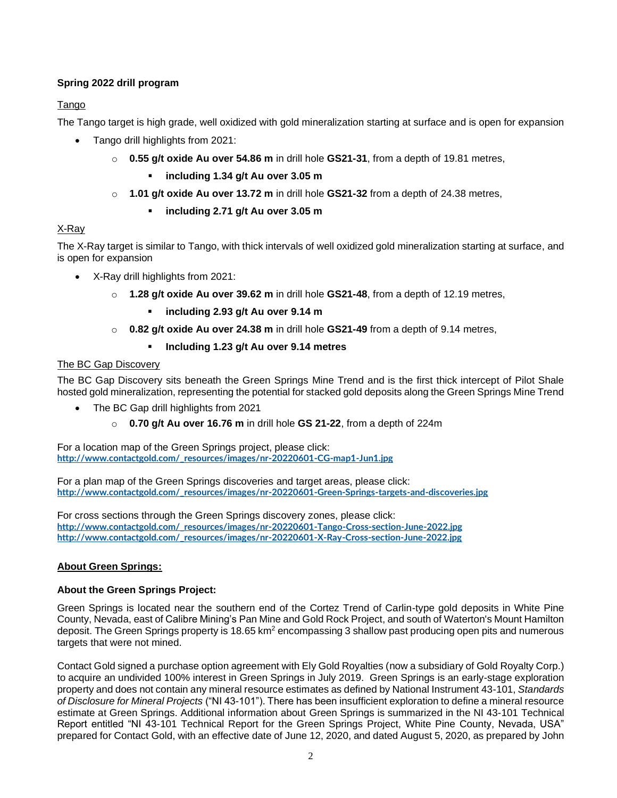# **Spring 2022 drill program**

# Tango

The Tango target is high grade, well oxidized with gold mineralization starting at surface and is open for expansion

- Tango drill highlights from 2021:
	- o **0.55 g/t oxide Au over 54.86 m** in drill hole **GS21-31**, from a depth of 19.81 metres,
		- **including 1.34 g/t Au over 3.05 m**
	- o **1.01 g/t oxide Au over 13.72 m** in drill hole **GS21-32** from a depth of 24.38 metres,
		- **including 2.71 g/t Au over 3.05 m**

# X-Ray

The X-Ray target is similar to Tango, with thick intervals of well oxidized gold mineralization starting at surface, and is open for expansion

- X-Ray drill highlights from 2021:
	- o **1.28 g/t oxide Au over 39.62 m** in drill hole **GS21-48**, from a depth of 12.19 metres,
		- **including 2.93 g/t Au over 9.14 m**
	- o **0.82 g/t oxide Au over 24.38 m** in drill hole **GS21-49** from a depth of 9.14 metres,

# ▪ **Including 1.23 g/t Au over 9.14 metres**

## The BC Gap Discovery

The BC Gap Discovery sits beneath the Green Springs Mine Trend and is the first thick intercept of Pilot Shale hosted gold mineralization, representing the potential for stacked gold deposits along the Green Springs Mine Trend

- The BC Gap drill highlights from 2021
	- o **0.70 g/t Au over 16.76 m** in drill hole **GS 21-22**, from a depth of 224m

For a location map of the Green Springs project, please click: **[http://www.contactgold.com/\\_resources/images/nr-20220601-CG-map1-Jun1.jpg](http://www.contactgold.com/_resources/images/nr-20220601-CG-map1-Jun1.jpg)**

For a plan map of the Green Springs discoveries and target areas, please click: **[http://www.contactgold.com/\\_resources/images/nr-20220601-Green-Springs-targets-and-discoveries.jpg](http://www.contactgold.com/_resources/images/nr-20220601-Green-Springs-targets-and-discoveries.jpg)**

For cross sections through the Green Springs discovery zones, please click: **[http://www.contactgold.com/\\_resources/images/nr-20220601-Tango-Cross-section-June-2022.jpg](http://www.contactgold.com/_resources/images/nr-20220601-Tango-Cross-section-June-2022.jpg) [http://www.contactgold.com/\\_resources/images/nr-20220601-X-Ray-Cross-section-June-2022.jpg](http://www.contactgold.com/_resources/images/nr-20220601-X-Ray-Cross-section-June-2022.jpg)**

## **About Green Springs:**

## **About the Green Springs Project:**

Green Springs is located near the southern end of the Cortez Trend of Carlin-type gold deposits in White Pine County, Nevada, east of Calibre Mining's Pan Mine and Gold Rock Project, and south of Waterton's Mount Hamilton deposit. The Green Springs property is 18.65 km<sup>2</sup> encompassing 3 shallow past producing open pits and numerous targets that were not mined.

Contact Gold signed a purchase option agreement with Ely Gold Royalties (now a subsidiary of Gold Royalty Corp.) to acquire an undivided 100% interest in Green Springs in July 2019. Green Springs is an early-stage exploration property and does not contain any mineral resource estimates as defined by National Instrument 43-101, *Standards of Disclosure for Mineral Projects* ("NI 43-101"). There has been insufficient exploration to define a mineral resource estimate at Green Springs. Additional information about Green Springs is summarized in the NI 43-101 Technical Report entitled "NI 43-101 Technical Report for the Green Springs Project, White Pine County, Nevada, USA" prepared for Contact Gold, with an effective date of June 12, 2020, and dated August 5, 2020, as prepared by John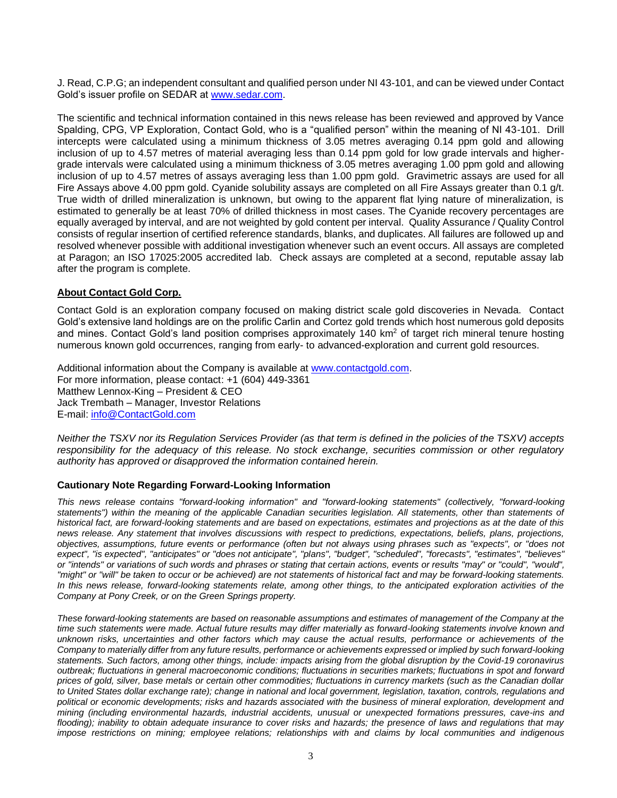J. Read, C.P.G; an independent consultant and qualified person under NI 43-101, and can be viewed under Contact Gold's issuer profile on SEDAR at [www.sedar.com.](about:blank)

The scientific and technical information contained in this news release has been reviewed and approved by Vance Spalding, CPG, VP Exploration, Contact Gold, who is a "qualified person" within the meaning of NI 43-101. Drill intercepts were calculated using a minimum thickness of 3.05 metres averaging 0.14 ppm gold and allowing inclusion of up to 4.57 metres of material averaging less than 0.14 ppm gold for low grade intervals and highergrade intervals were calculated using a minimum thickness of 3.05 metres averaging 1.00 ppm gold and allowing inclusion of up to 4.57 metres of assays averaging less than 1.00 ppm gold. Gravimetric assays are used for all Fire Assays above 4.00 ppm gold. Cyanide solubility assays are completed on all Fire Assays greater than 0.1 g/t. True width of drilled mineralization is unknown, but owing to the apparent flat lying nature of mineralization, is estimated to generally be at least 70% of drilled thickness in most cases. The Cyanide recovery percentages are equally averaged by interval, and are not weighted by gold content per interval. Quality Assurance / Quality Control consists of regular insertion of certified reference standards, blanks, and duplicates. All failures are followed up and resolved whenever possible with additional investigation whenever such an event occurs. All assays are completed at Paragon; an ISO 17025:2005 accredited lab. Check assays are completed at a second, reputable assay lab after the program is complete.

### **About Contact Gold Corp.**

Contact Gold is an exploration company focused on making district scale gold discoveries in Nevada. Contact Gold's extensive land holdings are on the prolific Carlin and Cortez gold trends which host numerous gold deposits and mines. Contact Gold's land position comprises approximately 140 km<sup>2</sup> of target rich mineral tenure hosting numerous known gold occurrences, ranging from early- to advanced-exploration and current gold resources.

Additional information about the Company is available at [www.contactgold.com.](about:blank)  For more information, please contact: +1 (604) 449-3361 Matthew Lennox-King – President & CEO Jack Trembath – Manager, Investor Relations E-mail: [info@ContactGold.com](about:blank)

*Neither the TSXV nor its Regulation Services Provider (as that term is defined in the policies of the TSXV) accepts responsibility for the adequacy of this release. No stock exchange, securities commission or other regulatory authority has approved or disapproved the information contained herein.*

### **Cautionary Note Regarding Forward-Looking Information**

*This news release contains "forward-looking information" and "forward-looking statements" (collectively, "forward-looking statements") within the meaning of the applicable Canadian securities legislation. All statements, other than statements of historical fact, are forward-looking statements and are based on expectations, estimates and projections as at the date of this news release. Any statement that involves discussions with respect to predictions, expectations, beliefs, plans, projections, objectives, assumptions, future events or performance (often but not always using phrases such as "expects", or "does not expect", "is expected", "anticipates" or "does not anticipate", "plans", "budget", "scheduled", "forecasts", "estimates", "believes"*  or "intends" or variations of such words and phrases or stating that certain actions, events or results "may" or "could", "would", *"might" or "will" be taken to occur or be achieved) are not statements of historical fact and may be forward-looking statements. In this news release, forward-looking statements relate, among other things, to the anticipated exploration activities of the Company at Pony Creek, or on the Green Springs property.*

*These forward-looking statements are based on reasonable assumptions and estimates of management of the Company at the time such statements were made. Actual future results may differ materially as forward-looking statements involve known and unknown risks, uncertainties and other factors which may cause the actual results, performance or achievements of the Company to materially differ from any future results, performance or achievements expressed or implied by such forward-looking statements. Such factors, among other things, include: impacts arising from the global disruption by the Covid-19 coronavirus outbreak; fluctuations in general macroeconomic conditions; fluctuations in securities markets; fluctuations in spot and forward prices of gold, silver, base metals or certain other commodities; fluctuations in currency markets (such as the Canadian dollar to United States dollar exchange rate); change in national and local government, legislation, taxation, controls, regulations and political or economic developments; risks and hazards associated with the business of mineral exploration, development and mining (including environmental hazards, industrial accidents, unusual or unexpected formations pressures, cave-ins and flooding); inability to obtain adequate insurance to cover risks and hazards; the presence of laws and regulations that may impose restrictions on mining; employee relations; relationships with and claims by local communities and indigenous*